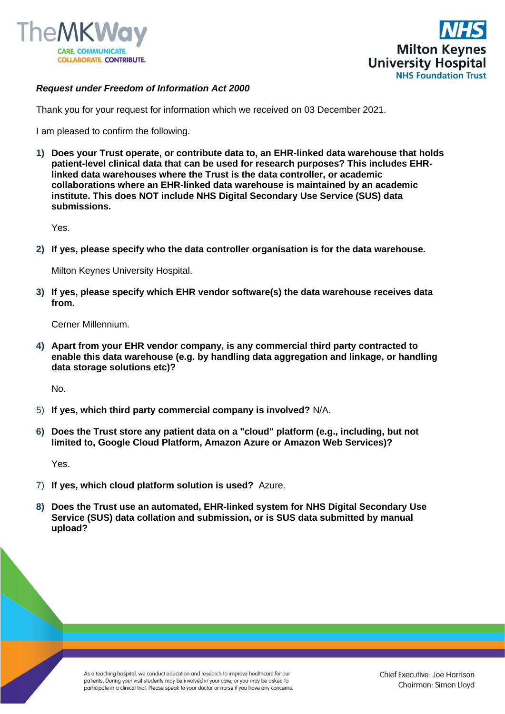



## *Request under Freedom of Information Act 2000*

Thank you for your request for information which we received on 03 December 2021.

I am pleased to confirm the following.

**1) Does your Trust operate, or contribute data to, an EHR-linked data warehouse that holds patient-level clinical data that can be used for research purposes? This includes EHRlinked data warehouses where the Trust is the data controller, or academic collaborations where an EHR-linked data warehouse is maintained by an academic institute. This does NOT include NHS Digital Secondary Use Service (SUS) data submissions.** 

Yes.

**2) If yes, please specify who the data controller organisation is for the data warehouse.** 

Milton Keynes University Hospital.

**3) If yes, please specify which EHR vendor software(s) the data warehouse receives data from.** 

Cerner Millennium.

**4) Apart from your EHR vendor company, is any commercial third party contracted to enable this data warehouse (e.g. by handling data aggregation and linkage, or handling data storage solutions etc)?** 

No.

- 5) **If yes, which third party commercial company is involved?** N/A.
- **6) Does the Trust store any patient data on a "cloud" platform (e.g., including, but not limited to, Google Cloud Platform, Amazon Azure or Amazon Web Services)?**

Yes.

- 7) **If yes, which cloud platform solution is used?** Azure.
- **8) Does the Trust use an automated, EHR-linked system for NHS Digital Secondary Use Service (SUS) data collation and submission, or is SUS data submitted by manual upload?**

As a teaching hospital, we conduct education and research to improve healthcare for our patients. During your visit students may be involved in your care, or you may be asked to participate in a clinical trial. Please speak to your doctor or nurse if you have any concerns.